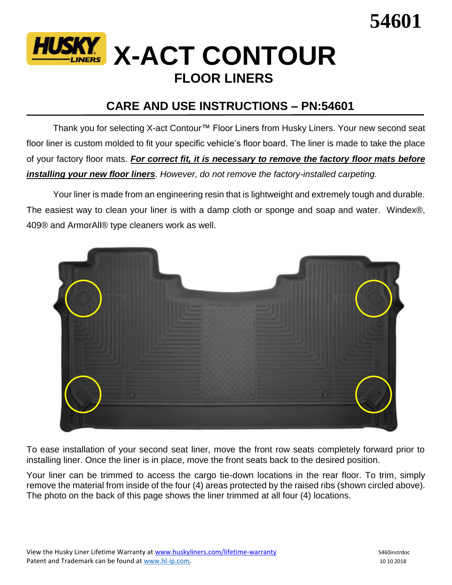



## **CARE AND USE INSTRUCTIONS – PN:54601**

Thank you for selecting X-act Contour™ Floor Liners from Husky Liners. Your new second seat floor liner is custom molded to fit your specific vehicle's floor board. The liner is made to take the place of your factory floor mats. *For correct fit, it is necessary to remove the factory floor mats before installing your new floor liners*. *However, do not remove the factory-installed carpeting.*

Your liner is made from an engineering resin that is lightweight and extremely tough and durable. The easiest way to clean your liner is with a damp cloth or sponge and soap and water. Windex®, 409® and ArmorAll® type cleaners work as well.



To ease installation of your second seat liner, move the front row seats completely forward prior to installing liner. Once the liner is in place, move the front seats back to the desired position.

Your liner can be trimmed to access the cargo tie-down locations in the rear floor. To trim, simply remove the material from inside of the four (4) areas protected by the raised ribs (shown circled above). The photo on the back of this page shows the liner trimmed at all four (4) locations.